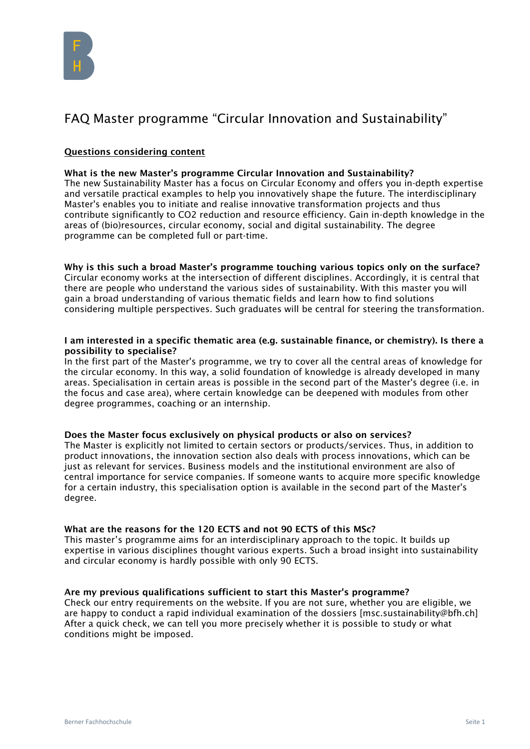

# FAQ Master programme "Circular Innovation and Sustainability"

# Questions considering content

## What is the new Master's programme Circular Innovation and Sustainability?

The new Sustainability Master has a focus on Circular Economy and offers you in-depth expertise and versatile practical examples to help you innovatively shape the future. The interdisciplinary Master's enables you to initiate and realise innovative transformation projects and thus contribute significantly to CO2 reduction and resource efficiency. Gain in-depth knowledge in the areas of (bio)resources, circular economy, social and digital sustainability. The degree programme can be completed full or part-time.

Why is this such a broad Master's programme touching various topics only on the surface? Circular economy works at the intersection of different disciplines. Accordingly, it is central that there are people who understand the various sides of sustainability. With this master you will gain a broad understanding of various thematic fields and learn how to find solutions considering multiple perspectives. Such graduates will be central for steering the transformation.

#### I am interested in a specific thematic area (e.g. sustainable finance, or chemistry). Is there a possibility to specialise?

In the first part of the Master's programme, we try to cover all the central areas of knowledge for the circular economy. In this way, a solid foundation of knowledge is already developed in many areas. Specialisation in certain areas is possible in the second part of the Master's degree (i.e. in the focus and case area), where certain knowledge can be deepened with modules from other degree programmes, coaching or an internship.

## Does the Master focus exclusively on physical products or also on services?

The Master is explicitly not limited to certain sectors or products/services. Thus, in addition to product innovations, the innovation section also deals with process innovations, which can be just as relevant for services. Business models and the institutional environment are also of central importance for service companies. If someone wants to acquire more specific knowledge for a certain industry, this specialisation option is available in the second part of the Master's degree.

## What are the reasons for the 120 ECTS and not 90 ECTS of this MSc?

This master's programme aims for an interdisciplinary approach to the topic. It builds up expertise in various disciplines thought various experts. Such a broad insight into sustainability and circular economy is hardly possible with only 90 ECTS.

## Are my previous qualifications sufficient to start this Master's programme?

Check our entry requirements on the website. If you are not sure, whether you are eligible, we are happy to conduct a rapid individual examination of the dossiers [msc.sustainability@bfh.ch] After a quick check, we can tell you more precisely whether it is possible to study or what conditions might be imposed.